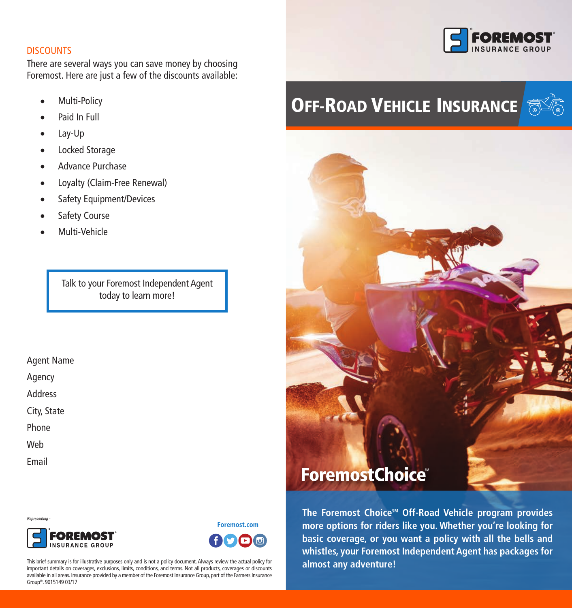## **DISCOUNTS**

There are several ways you can save money by choosing Foremost. Here are just a few of the discounts available:

- Multi-Policy
- Paid In Full
- • Lay-Up
- Locked Storage
- • Advance Purchase
- • Loyalty (Claim-Free Renewal)
- Safety Equipment/Devices
- Safety Course
- Multi-Vehicle

Talk to your Foremost Independent Agent today to learn more!

#### Agent Name

Agency

Address

City, State

Phone

Web

Email

Representing



**Foremost.com** 

This brief summary is for illustrative purposes only and is not a policy document. Always review the actual policy for important details on coverages, exclusions, limits, conditions, and terms. Not all products, coverages or discounts available in all areas. Insurance provided by a member of the Foremost Insurance Group, part of the Farmers Insurance Group®. 9015149 03/17



# **OFF-ROAD VEHICLE INSURANCE**



The Foremost Choice<sup>5M</sup> Off-Road Vehicle program provides **more options for riders like you. Whether you're looking for basic coverage, or you want a policy with all the bells and whistles, your Foremost Independent Agent has packages for almost any adventure!**